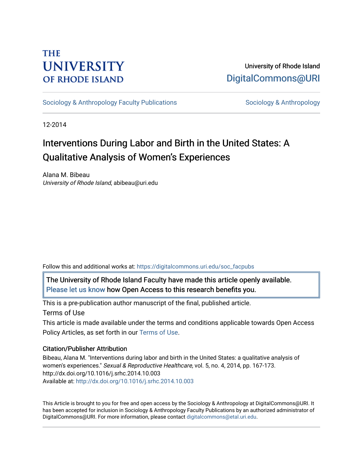# **THE UNIVERSITY OF RHODE ISLAND**

University of Rhode Island [DigitalCommons@URI](https://digitalcommons.uri.edu/) 

[Sociology & Anthropology Faculty Publications](https://digitalcommons.uri.edu/soc_facpubs) [Sociology & Anthropology](https://digitalcommons.uri.edu/soc) & Anthropology

12-2014

# Interventions During Labor and Birth in the United States: A Qualitative Analysis of Women's Experiences

Alana M. Bibeau University of Rhode Island, abibeau@uri.edu

Follow this and additional works at: [https://digitalcommons.uri.edu/soc\\_facpubs](https://digitalcommons.uri.edu/soc_facpubs?utm_source=digitalcommons.uri.edu%2Fsoc_facpubs%2F5&utm_medium=PDF&utm_campaign=PDFCoverPages) 

The University of Rhode Island Faculty have made this article openly available. [Please let us know](http://web.uri.edu/library-digital-initiatives/open-access-online-form/) how Open Access to this research benefits you.

This is a pre-publication author manuscript of the final, published article.

Terms of Use

This article is made available under the terms and conditions applicable towards Open Access Policy Articles, as set forth in our [Terms of Use](https://digitalcommons.uri.edu/soc_facpubs/oa_policy_terms.html).

# Citation/Publisher Attribution

Bibeau, Alana M. "Interventions during labor and birth in the United States: a qualitative analysis of women's experiences." Sexual & Reproductive Healthcare, vol. 5, no. 4, 2014, pp. 167-173. http://dx.doi.org/10.1016/j.srhc.2014.10.003 Available at:<http://dx.doi.org/10.1016/j.srhc.2014.10.003>

This Article is brought to you for free and open access by the Sociology & Anthropology at DigitalCommons@URI. It has been accepted for inclusion in Sociology & Anthropology Faculty Publications by an authorized administrator of DigitalCommons@URI. For more information, please contact [digitalcommons@etal.uri.edu.](mailto:digitalcommons@etal.uri.edu)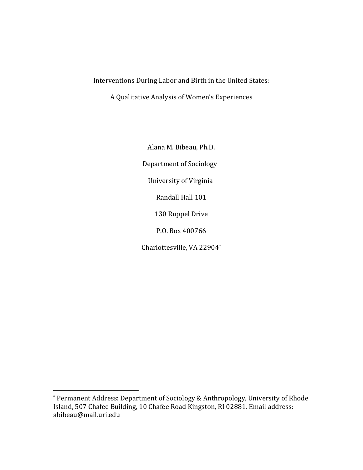Interventions During Labor and Birth in the United States:

A Qualitative Analysis of Women's Experiences

Alana M. Bibeau, Ph.D. Department of Sociology University of Virginia Randall Hall 101 130 Ruppel Drive P.O. Box 400766 Charlottesville, VA 22904\*

<sup>\*</sup> Permanent Address: Department of Sociology & Anthropology, University of Rhode Island, 507 Chafee Building, 10 Chafee Road Kingston, RI 02881. Email address: abibeau@mail.uri.edu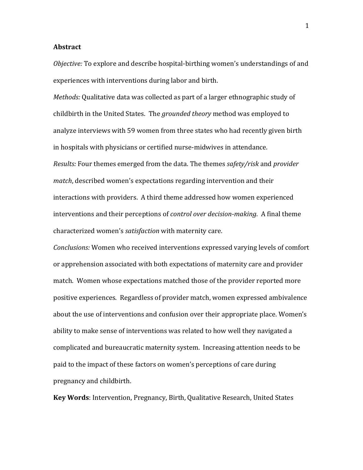### **Abstract**

*Objective:* To explore and describe hospital-birthing women's understandings of and experiences with interventions during labor and birth.

*Methods:* Qualitative data was collected as part of a larger ethnographic study of childbirth in the United States. The *grounded theory* method was employed to analyze interviews with 59 women from three states who had recently given birth in hospitals with physicians or certified nurse-midwives in attendance. *Results:* Four themes emerged from the data. The themes *safety/risk* and *provider match*, described women's expectations regarding intervention and their interactions with providers. A third theme addressed how women experienced interventions and their perceptions of *control over decision-making*. A final theme characterized women's *satisfaction* with maternity care.

*Conclusions:* Women who received interventions expressed varying levels of comfort or apprehension associated with both expectations of maternity care and provider match. Women whose expectations matched those of the provider reported more positive experiences. Regardless of provider match, women expressed ambivalence about the use of interventions and confusion over their appropriate place. Women's ability to make sense of interventions was related to how well they navigated a complicated and bureaucratic maternity system. Increasing attention needs to be paid to the impact of these factors on women's perceptions of care during pregnancy and childbirth. 

**Key Words**: Intervention, Pregnancy, Birth, Qualitative Research, United States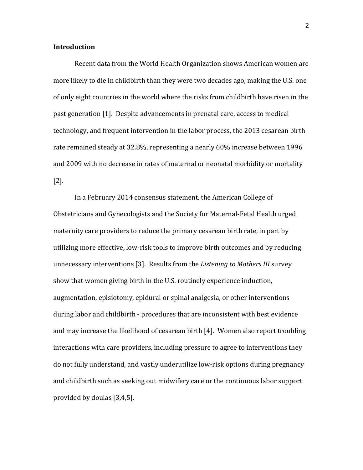## **Introduction**

Recent data from the World Health Organization shows American women are more likely to die in childbirth than they were two decades ago, making the U.S. one of only eight countries in the world where the risks from childbirth have risen in the past generation [1]. Despite advancements in prenatal care, access to medical technology, and frequent intervention in the labor process, the 2013 cesarean birth rate remained steady at 32.8%, representing a nearly 60% increase between 1996 and 2009 with no decrease in rates of maternal or neonatal morbidity or mortality [2]. 

In a February 2014 consensus statement, the American College of Obstetricians and Gynecologists and the Society for Maternal-Fetal Health urged maternity care providers to reduce the primary cesarean birth rate, in part by utilizing more effective, low-risk tools to improve birth outcomes and by reducing unnecessary interventions [3]. Results from the *Listening to Mothers III* survey show that women giving birth in the U.S. routinely experience induction, augmentation, episiotomy, epidural or spinal analgesia, or other interventions during labor and childbirth - procedures that are inconsistent with best evidence and may increase the likelihood of cesarean birth [4]. Women also report troubling interactions with care providers, including pressure to agree to interventions they do not fully understand, and vastly underutilize low-risk options during pregnancy and childbirth such as seeking out midwifery care or the continuous labor support provided by doulas  $[3,4,5]$ .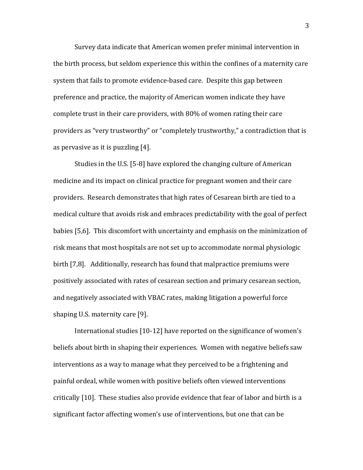Survey data indicate that American women prefer minimal intervention in the birth process, but seldom experience this within the confines of a maternity care system that fails to promote evidence-based care. Despite this gap between preference and practice, the majority of American women indicate they have complete trust in their care providers, with 80% of women rating their care providers as "very trustworthy" or "completely trustworthy," a contradiction that is as pervasive as it is puzzling  $[4]$ .

Studies in the U.S. [5-8] have explored the changing culture of American medicine and its impact on clinical practice for pregnant women and their care providers. Research demonstrates that high rates of Cesarean birth are tied to a medical culture that avoids risk and embraces predictability with the goal of perfect babies [5,6]. This discomfort with uncertainty and emphasis on the minimization of risk means that most hospitals are not set up to accommodate normal physiologic birth [7,8]. Additionally, research has found that malpractice premiums were positively associated with rates of cesarean section and primary cesarean section, and negatively associated with VBAC rates, making litigation a powerful force shaping U.S. maternity care [9].

International studies [10-12] have reported on the significance of women's beliefs about birth in shaping their experiences. Women with negative beliefs saw interventions as a way to manage what they perceived to be a frightening and painful ordeal, while women with positive beliefs often viewed interventions critically [10]. These studies also provide evidence that fear of labor and birth is a significant factor affecting women's use of interventions, but one that can be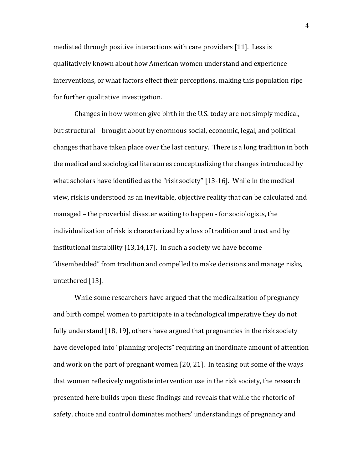mediated through positive interactions with care providers [11]. Less is qualitatively known about how American women understand and experience interventions, or what factors effect their perceptions, making this population ripe for further qualitative investigation.

Changes in how women give birth in the U.S. today are not simply medical, but structural – brought about by enormous social, economic, legal, and political changes that have taken place over the last century. There is a long tradition in both the medical and sociological literatures conceptualizing the changes introduced by what scholars have identified as the "risk society"  $[13-16]$ . While in the medical view, risk is understood as an inevitable, objective reality that can be calculated and managed – the proverbial disaster waiting to happen - for sociologists, the individualization of risk is characterized by a loss of tradition and trust and by institutional instability  $[13,14,17]$ . In such a society we have become "disembedded" from tradition and compelled to make decisions and manage risks, untethered [13].

While some researchers have argued that the medicalization of pregnancy and birth compel women to participate in a technological imperative they do not fully understand  $[18, 19]$ , others have argued that pregnancies in the risk society have developed into "planning projects" requiring an inordinate amount of attention and work on the part of pregnant women  $[20, 21]$ . In teasing out some of the ways that women reflexively negotiate intervention use in the risk society, the research presented here builds upon these findings and reveals that while the rhetoric of safety, choice and control dominates mothers' understandings of pregnancy and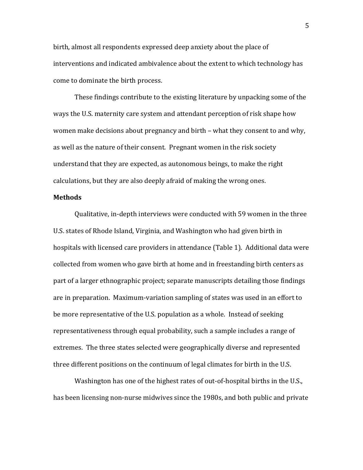birth, almost all respondents expressed deep anxiety about the place of interventions and indicated ambivalence about the extent to which technology has come to dominate the birth process.

These findings contribute to the existing literature by unpacking some of the ways the U.S. maternity care system and attendant perception of risk shape how women make decisions about pregnancy and birth – what they consent to and why, as well as the nature of their consent. Pregnant women in the risk society understand that they are expected, as autonomous beings, to make the right calculations, but they are also deeply afraid of making the wrong ones.

### **Methods**

Qualitative, in-depth interviews were conducted with 59 women in the three U.S. states of Rhode Island, Virginia, and Washington who had given birth in hospitals with licensed care providers in attendance (Table 1). Additional data were collected from women who gave birth at home and in freestanding birth centers as part of a larger ethnographic project; separate manuscripts detailing those findings are in preparation. Maximum-variation sampling of states was used in an effort to be more representative of the U.S. population as a whole. Instead of seeking representativeness through equal probability, such a sample includes a range of extremes. The three states selected were geographically diverse and represented three different positions on the continuum of legal climates for birth in the U.S.

Washington has one of the highest rates of out-of-hospital births in the U.S., has been licensing non-nurse midwives since the 1980s, and both public and private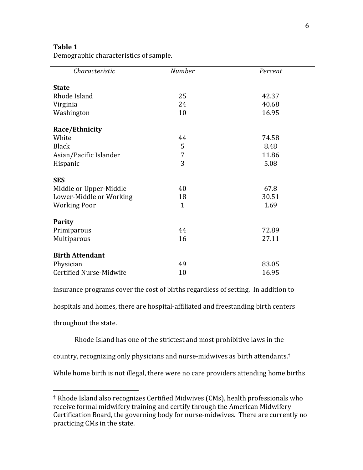# **Table 1**

Demographic characteristics of sample.

| Characteristic          | <b>Number</b> | Percent |
|-------------------------|---------------|---------|
| <b>State</b>            |               |         |
| Rhode Island            | 25            | 42.37   |
| Virginia                | 24            | 40.68   |
| Washington              | 10            | 16.95   |
| Race/Ethnicity          |               |         |
| White                   | 44            | 74.58   |
| <b>Black</b>            | 5             | 8.48    |
| Asian/Pacific Islander  | 7             | 11.86   |
| Hispanic                | 3             | 5.08    |
| <b>SES</b>              |               |         |
| Middle or Upper-Middle  | 40            | 67.8    |
| Lower-Middle or Working | 18            | 30.51   |
| <b>Working Poor</b>     | $\mathbf{1}$  | 1.69    |
| <b>Parity</b>           |               |         |
| Primiparous             | 44            | 72.89   |
| Multiparous             | 16            | 27.11   |
| <b>Birth Attendant</b>  |               |         |
| Physician               | 49            | 83.05   |
| Certified Nurse-Midwife | 10            | 16.95   |

insurance programs cover the cost of births regardless of setting. In addition to

hospitals and homes, there are hospital-affiliated and freestanding birth centers

throughout the state.

 

Rhode Island has one of the strictest and most prohibitive laws in the

country, recognizing only physicians and nurse-midwives as birth attendants.<sup>†</sup>

While home birth is not illegal, there were no care providers attending home births

<sup>&</sup>lt;sup>†</sup> Rhode Island also recognizes Certified Midwives (CMs), health professionals who receive formal midwifery training and certify through the American Midwifery Certification Board, the governing body for nurse-midwives. There are currently no practicing CMs in the state.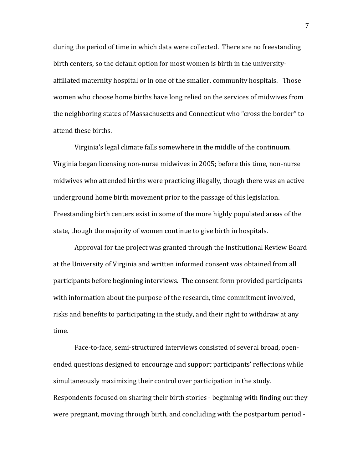during the period of time in which data were collected. There are no freestanding birth centers, so the default option for most women is birth in the universityaffiliated maternity hospital or in one of the smaller, community hospitals. Those women who choose home births have long relied on the services of midwives from the neighboring states of Massachusetts and Connecticut who "cross the border" to attend these births.

Virginia's legal climate falls somewhere in the middle of the continuum. Virginia began licensing non-nurse midwives in 2005; before this time, non-nurse midwives who attended births were practicing illegally, though there was an active underground home birth movement prior to the passage of this legislation. Freestanding birth centers exist in some of the more highly populated areas of the state, though the majority of women continue to give birth in hospitals.

Approval for the project was granted through the Institutional Review Board at the University of Virginia and written informed consent was obtained from all participants before beginning interviews. The consent form provided participants with information about the purpose of the research, time commitment involved, risks and benefits to participating in the study, and their right to withdraw at any time. 

Face-to-face, semi-structured interviews consisted of several broad, openended questions designed to encourage and support participants' reflections while simultaneously maximizing their control over participation in the study. Respondents focused on sharing their birth stories - beginning with finding out they were pregnant, moving through birth, and concluding with the postpartum period -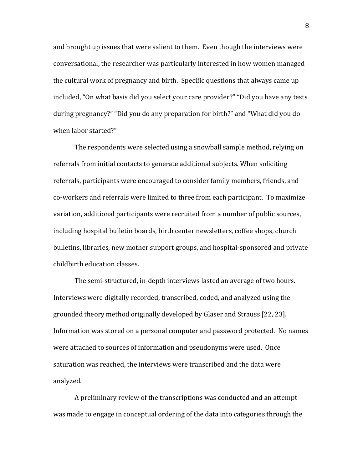and brought up issues that were salient to them. Even though the interviews were conversational, the researcher was particularly interested in how women managed the cultural work of pregnancy and birth. Specific questions that always came up included, "On what basis did you select your care provider?" "Did you have any tests during pregnancy?" "Did you do any preparation for birth?" and "What did you do when labor started?"

The respondents were selected using a snowball sample method, relying on referrals from initial contacts to generate additional subjects. When soliciting referrals, participants were encouraged to consider family members, friends, and co-workers and referrals were limited to three from each participant. To maximize variation, additional participants were recruited from a number of public sources, including hospital bulletin boards, birth center newsletters, coffee shops, church bulletins, libraries, new mother support groups, and hospital-sponsored and private childbirth education classes.

The semi-structured, in-depth interviews lasted an average of two hours. Interviews were digitally recorded, transcribed, coded, and analyzed using the grounded theory method originally developed by Glaser and Strauss [22, 23]. Information was stored on a personal computer and password protected. No names were attached to sources of information and pseudonyms were used. Once saturation was reached, the interviews were transcribed and the data were analyzed. 

A preliminary review of the transcriptions was conducted and an attempt was made to engage in conceptual ordering of the data into categories through the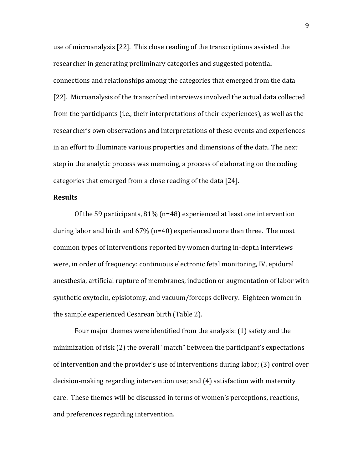use of microanalysis  $[22]$ . This close reading of the transcriptions assisted the researcher in generating preliminary categories and suggested potential connections and relationships among the categories that emerged from the data [22]. Microanalysis of the transcribed interviews involved the actual data collected from the participants (i.e., their interpretations of their experiences), as well as the researcher's own observations and interpretations of these events and experiences in an effort to illuminate various properties and dimensions of the data. The next step in the analytic process was memoing, a process of elaborating on the coding categories that emerged from a close reading of the data [24].

### **Results**

Of the 59 participants,  $81\%$  (n=48) experienced at least one intervention during labor and birth and  $67\%$  (n=40) experienced more than three. The most common types of interventions reported by women during in-depth interviews were, in order of frequency: continuous electronic fetal monitoring, IV, epidural anesthesia, artificial rupture of membranes, induction or augmentation of labor with synthetic oxytocin, episiotomy, and vacuum/forceps delivery. Eighteen women in the sample experienced Cesarean birth (Table 2).

Four major themes were identified from the analysis: (1) safety and the minimization of risk (2) the overall "match" between the participant's expectations of intervention and the provider's use of interventions during labor; (3) control over decision-making regarding intervention use; and (4) satisfaction with maternity care. These themes will be discussed in terms of women's perceptions, reactions, and preferences regarding intervention.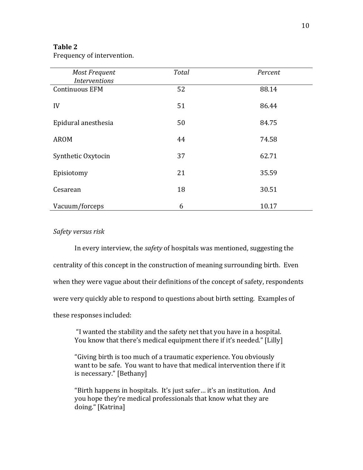# **Table 2**

Frequency of intervention.

| <b>Most Frequent</b><br><i>Interventions</i> | <b>Total</b> | Percent |
|----------------------------------------------|--------------|---------|
| <b>Continuous EFM</b>                        | 52           | 88.14   |
| IV                                           | 51           | 86.44   |
| Epidural anesthesia                          | 50           | 84.75   |
| <b>AROM</b>                                  | 44           | 74.58   |
| Synthetic Oxytocin                           | 37           | 62.71   |
| Episiotomy                                   | 21           | 35.59   |
| Cesarean                                     | 18           | 30.51   |
| Vacuum/forceps                               | 6            | 10.17   |

# *Safety versus risk*

In every interview, the *safety* of hospitals was mentioned, suggesting the centrality of this concept in the construction of meaning surrounding birth. Even when they were vague about their definitions of the concept of safety, respondents were very quickly able to respond to questions about birth setting. Examples of these responses included:

"I wanted the stability and the safety net that you have in a hospital. You know that there's medical equipment there if it's needed." [Lilly]

"Giving birth is too much of a traumatic experience. You obviously want to be safe. You want to have that medical intervention there if it is necessary." [Bethany]

"Birth happens in hospitals. It's just safer... it's an institution. And you hope they're medical professionals that know what they are doing." [Katrina]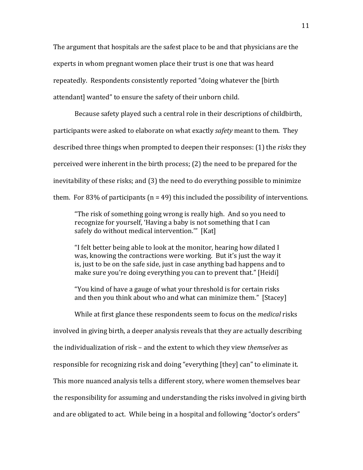The argument that hospitals are the safest place to be and that physicians are the experts in whom pregnant women place their trust is one that was heard repeatedly. Respondents consistently reported "doing whatever the [birth] attendant] wanted" to ensure the safety of their unborn child.

Because safety played such a central role in their descriptions of childbirth, participants were asked to elaborate on what exactly *safety* meant to them. They described three things when prompted to deepen their responses: (1) the *risks* they perceived were inherent in the birth process;  $(2)$  the need to be prepared for the inevitability of these risks; and (3) the need to do everything possible to minimize them. For 83% of participants ( $n = 49$ ) this included the possibility of interventions.

"The risk of something going wrong is really high. And so you need to recognize for yourself, 'Having a baby is not something that I can safely do without medical intervention."" [Kat]

"I felt better being able to look at the monitor, hearing how dilated I was, knowing the contractions were working. But it's just the way it is, just to be on the safe side, just in case anything bad happens and to make sure you're doing everything you can to prevent that." [Heidi]

"You kind of have a gauge of what your threshold is for certain risks and then you think about who and what can minimize them." [Stacey]

While at first glance these respondents seem to focus on the *medical* risks involved in giving birth, a deeper analysis reveals that they are actually describing the individualization of risk – and the extent to which they view *themselves* as responsible for recognizing risk and doing "everything [they] can" to eliminate it. This more nuanced analysis tells a different story, where women themselves bear the responsibility for assuming and understanding the risks involved in giving birth and are obligated to act. While being in a hospital and following "doctor's orders"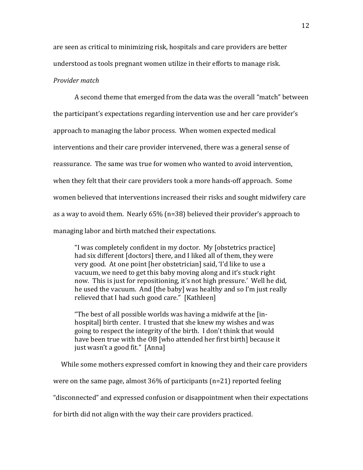are seen as critical to minimizing risk, hospitals and care providers are better understood as tools pregnant women utilize in their efforts to manage risk.

### *Provider match*

A second theme that emerged from the data was the overall "match" between the participant's expectations regarding intervention use and her care provider's approach to managing the labor process. When women expected medical interventions and their care provider intervened, there was a general sense of reassurance. The same was true for women who wanted to avoid intervention, when they felt that their care providers took a more hands-off approach. Some women believed that interventions increased their risks and sought midwifery care as a way to avoid them. Nearly  $65\%$  (n=38) believed their provider's approach to managing labor and birth matched their expectations.

"I was completely confident in my doctor. My  $[obsterics\,practic]$ had six different [doctors] there, and I liked all of them, they were very good. At one point [her obstetrician] said, 'I'd like to use a vacuum, we need to get this baby moving along and it's stuck right now. This is just for repositioning, it's not high pressure.' Well he did, he used the vacuum. And [the baby] was healthy and so I'm just really relieved that I had such good care." [Kathleen]

"The best of all possible worlds was having a midwife at the  $\lim$ hospital] birth center. I trusted that she knew my wishes and was going to respect the integrity of the birth. I don't think that would have been true with the OB [who attended her first birth] because it just wasn't a good fit." [Anna]

While some mothers expressed comfort in knowing they and their care providers

were on the same page, almost  $36\%$  of participants (n=21) reported feeling

"disconnected" and expressed confusion or disappointment when their expectations

for birth did not align with the way their care providers practiced.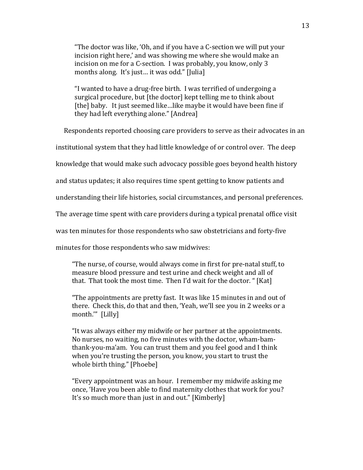"The doctor was like, 'Oh, and if you have a C-section we will put your incision right here,' and was showing me where she would make an incision on me for a C-section. I was probably, you know, only 3 months along. It's just... it was odd." [Julia]

"I wanted to have a drug-free birth. I was terrified of undergoing a surgical procedure, but [the doctor] kept telling me to think about [the] baby. It just seemed like... like maybe it would have been fine if they had left everything alone." [Andrea]

Respondents reported choosing care providers to serve as their advocates in an

institutional system that they had little knowledge of or control over. The deep

knowledge that would make such advocacy possible goes beyond health history

and status updates; it also requires time spent getting to know patients and

understanding their life histories, social circumstances, and personal preferences.

The average time spent with care providers during a typical prenatal office visit

was ten minutes for those respondents who saw obstetricians and forty-five

minutes for those respondents who saw midwives:

"The nurse, of course, would always come in first for pre-natal stuff, to measure blood pressure and test urine and check weight and all of that. That took the most time. Then I'd wait for the doctor. " [Kat]

"The appointments are pretty fast. It was like 15 minutes in and out of there. Check this, do that and then, 'Yeah, we'll see you in 2 weeks or a month.'" [Lilly]

"It was always either my midwife or her partner at the appointments. No nurses, no waiting, no five minutes with the doctor, wham-bamthank-you-ma'am. You can trust them and you feel good and I think when you're trusting the person, you know, you start to trust the whole birth thing." [Phoebe]

"Every appointment was an hour. I remember my midwife asking me once, 'Have you been able to find maternity clothes that work for you? It's so much more than just in and out." [Kimberly]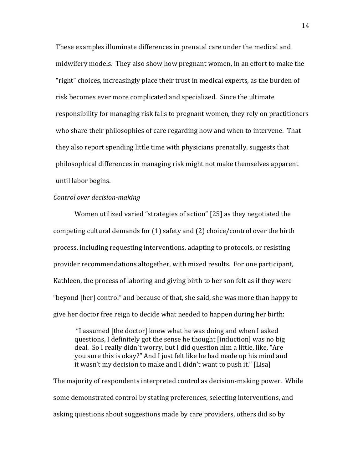These examples illuminate differences in prenatal care under the medical and midwifery models. They also show how pregnant women, in an effort to make the "right" choices, increasingly place their trust in medical experts, as the burden of risk becomes ever more complicated and specialized. Since the ultimate responsibility for managing risk falls to pregnant women, they rely on practitioners who share their philosophies of care regarding how and when to intervene. That they also report spending little time with physicians prenatally, suggests that philosophical differences in managing risk might not make themselves apparent until labor begins.

## *Control over decision-making*

Women utilized varied "strategies of action" [25] as they negotiated the competing cultural demands for  $(1)$  safety and  $(2)$  choice/control over the birth process, including requesting interventions, adapting to protocols, or resisting provider recommendations altogether, with mixed results. For one participant, Kathleen, the process of laboring and giving birth to her son felt as if they were "beyond [her] control" and because of that, she said, she was more than happy to give her doctor free reign to decide what needed to happen during her birth:

"I assumed [the doctor] knew what he was doing and when I asked questions, I definitely got the sense he thought [induction] was no big deal. So I really didn't worry, but I did question him a little, like, "Are you sure this is okay?" And I just felt like he had made up his mind and it wasn't my decision to make and I didn't want to push it." [Lisa]

The majority of respondents interpreted control as decision-making power. While some demonstrated control by stating preferences, selecting interventions, and asking questions about suggestions made by care providers, others did so by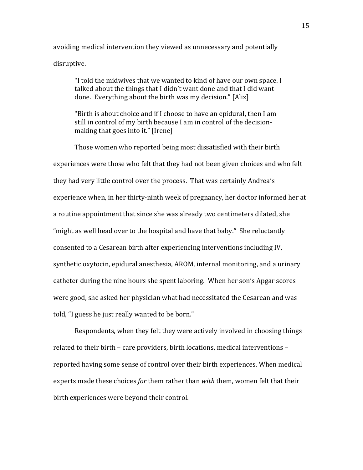avoiding medical intervention they viewed as unnecessary and potentially disruptive.

"I told the midwives that we wanted to kind of have our own space. I talked about the things that I didn't want done and that I did want done. Everything about the birth was my decision." [Alix]

"Birth is about choice and if I choose to have an epidural, then I am still in control of my birth because I am in control of the decisionmaking that goes into it." [Irene]

Those women who reported being most dissatisfied with their birth experiences were those who felt that they had not been given choices and who felt they had very little control over the process. That was certainly Andrea's experience when, in her thirty-ninth week of pregnancy, her doctor informed her at a routine appointment that since she was already two centimeters dilated, she "might as well head over to the hospital and have that baby." She reluctantly consented to a Cesarean birth after experiencing interventions including IV, synthetic oxytocin, epidural anesthesia, AROM, internal monitoring, and a urinary catheter during the nine hours she spent laboring. When her son's Apgar scores were good, she asked her physician what had necessitated the Cesarean and was told, "I guess he just really wanted to be born."

Respondents, when they felt they were actively involved in choosing things related to their birth – care providers, birth locations, medical interventions – reported having some sense of control over their birth experiences. When medical experts made these choices *for* them rather than *with* them, women felt that their birth experiences were beyond their control.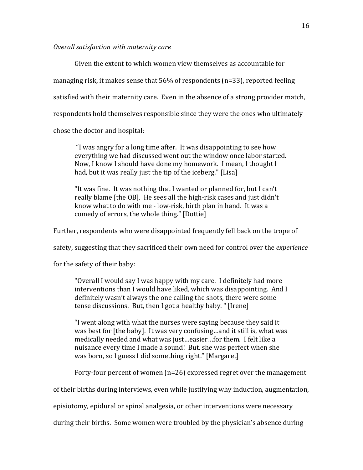## *Overall satisfaction with maternity care*

Given the extent to which women view themselves as accountable for managing risk, it makes sense that  $56\%$  of respondents (n=33), reported feeling satisfied with their maternity care. Even in the absence of a strong provider match, respondents hold themselves responsible since they were the ones who ultimately chose the doctor and hospital:

"I was angry for a long time after. It was disappointing to see how everything we had discussed went out the window once labor started. Now, I know I should have done my homework. I mean, I thought I had, but it was really just the tip of the iceberg." [Lisa]

"It was fine. It was nothing that I wanted or planned for, but I can't really blame [the OB]. He sees all the high-risk cases and just didn't know what to do with me - low-risk, birth plan in hand. It was a comedy of errors, the whole thing." [Dottie]

Further, respondents who were disappointed frequently fell back on the trope of

safety, suggesting that they sacrificed their own need for control over the *experience* 

for the safety of their baby:

"Overall I would say I was happy with my care. I definitely had more interventions than I would have liked, which was disappointing. And I definitely wasn't always the one calling the shots, there were some tense discussions. But, then I got a healthy baby. " [Irene]

"I went along with what the nurses were saying because they said it was best for [the baby]. It was very confusing...and it still is, what was medically needed and what was just...easier...for them. I felt like a nuisance every time I made a sound! But, she was perfect when she was born, so I guess I did something right." [Margaret]

Forty-four percent of women  $(n=26)$  expressed regret over the management

of their births during interviews, even while justifying why induction, augmentation,

episiotomy, epidural or spinal analgesia, or other interventions were necessary

during their births. Some women were troubled by the physician's absence during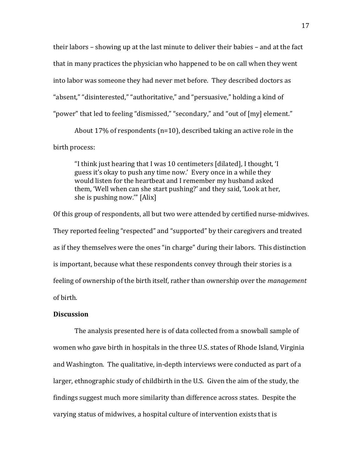their labors – showing up at the last minute to deliver their babies – and at the fact that in many practices the physician who happened to be on call when they went into labor was someone they had never met before. They described doctors as "absent," "disinterested," "authoritative," and "persuasive," holding a kind of "power" that led to feeling "dismissed," "secondary," and "out of [my] element."

About 17% of respondents ( $n=10$ ), described taking an active role in the birth process:

"I think just hearing that I was 10 centimeters [dilated], I thought, 'I guess it's okay to push any time now.' Every once in a while they would listen for the heartbeat and I remember my husband asked them, 'Well when can she start pushing?' and they said, 'Look at her, she is pushing now."  $[Alix]$ 

Of this group of respondents, all but two were attended by certified nurse-midwives. They reported feeling "respected" and "supported" by their caregivers and treated as if they themselves were the ones "in charge" during their labors. This distinction is important, because what these respondents convey through their stories is a feeling of ownership of the birth itself, rather than ownership over the *management* of birth.

## **Discussion**

The analysis presented here is of data collected from a snowball sample of women who gave birth in hospitals in the three U.S. states of Rhode Island, Virginia and Washington. The qualitative, in-depth interviews were conducted as part of a larger, ethnographic study of childbirth in the U.S. Given the aim of the study, the findings suggest much more similarity than difference across states. Despite the varying status of midwives, a hospital culture of intervention exists that is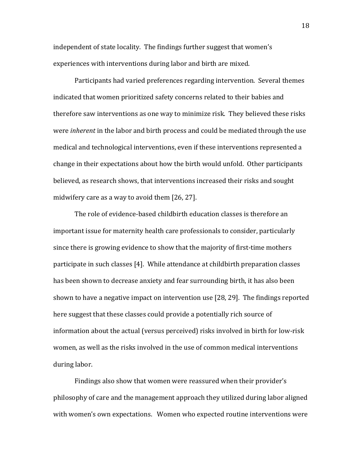independent of state locality. The findings further suggest that women's experiences with interventions during labor and birth are mixed.

Participants had varied preferences regarding intervention. Several themes indicated that women prioritized safety concerns related to their babies and therefore saw interventions as one way to minimize risk. They believed these risks were *inherent* in the labor and birth process and could be mediated through the use medical and technological interventions, even if these interventions represented a change in their expectations about how the birth would unfold. Other participants believed, as research shows, that interventions increased their risks and sought midwifery care as a way to avoid them  $[26, 27]$ .

The role of evidence-based childbirth education classes is therefore an important issue for maternity health care professionals to consider, particularly since there is growing evidence to show that the majority of first-time mothers participate in such classes [4]. While attendance at childbirth preparation classes has been shown to decrease anxiety and fear surrounding birth, it has also been shown to have a negative impact on intervention use  $[28, 29]$ . The findings reported here suggest that these classes could provide a potentially rich source of information about the actual (versus perceived) risks involved in birth for low-risk women, as well as the risks involved in the use of common medical interventions during labor.

Findings also show that women were reassured when their provider's philosophy of care and the management approach they utilized during labor aligned with women's own expectations. Women who expected routine interventions were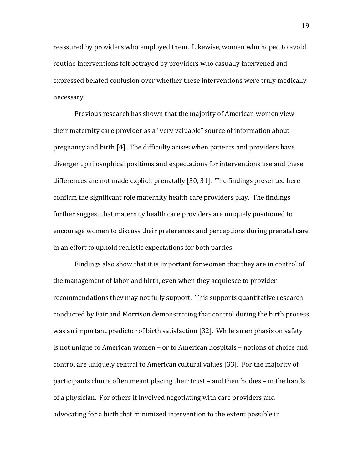reassured by providers who employed them. Likewise, women who hoped to avoid routine interventions felt betrayed by providers who casually intervened and expressed belated confusion over whether these interventions were truly medically necessary. 

Previous research has shown that the majority of American women view their maternity care provider as a "very valuable" source of information about pregnancy and birth  $[4]$ . The difficulty arises when patients and providers have divergent philosophical positions and expectations for interventions use and these differences are not made explicit prenatally [30, 31]. The findings presented here confirm the significant role maternity health care providers play. The findings further suggest that maternity health care providers are uniquely positioned to encourage women to discuss their preferences and perceptions during prenatal care in an effort to uphold realistic expectations for both parties.

Findings also show that it is important for women that they are in control of the management of labor and birth, even when they acquiesce to provider recommendations they may not fully support. This supports quantitative research conducted by Fair and Morrison demonstrating that control during the birth process was an important predictor of birth satisfaction [32]. While an emphasis on safety is not unique to American women – or to American hospitals – notions of choice and control are uniquely central to American cultural values [33]. For the majority of participants choice often meant placing their trust – and their bodies – in the hands of a physician. For others it involved negotiating with care providers and advocating for a birth that minimized intervention to the extent possible in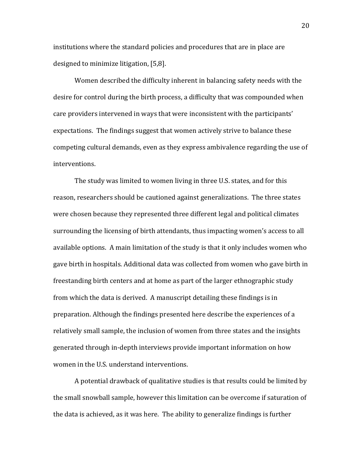institutions where the standard policies and procedures that are in place are designed to minimize litigation, [5,8].

Women described the difficulty inherent in balancing safety needs with the desire for control during the birth process, a difficulty that was compounded when care providers intervened in ways that were inconsistent with the participants' expectations. The findings suggest that women actively strive to balance these competing cultural demands, even as they express ambivalence regarding the use of interventions.

The study was limited to women living in three U.S. states, and for this reason, researchers should be cautioned against generalizations. The three states were chosen because they represented three different legal and political climates surrounding the licensing of birth attendants, thus impacting women's access to all available options. A main limitation of the study is that it only includes women who gave birth in hospitals. Additional data was collected from women who gave birth in freestanding birth centers and at home as part of the larger ethnographic study from which the data is derived. A manuscript detailing these findings is in preparation. Although the findings presented here describe the experiences of a relatively small sample, the inclusion of women from three states and the insights generated through in-depth interviews provide important information on how women in the U.S. understand interventions.

A potential drawback of qualitative studies is that results could be limited by the small snowball sample, however this limitation can be overcome if saturation of the data is achieved, as it was here. The ability to generalize findings is further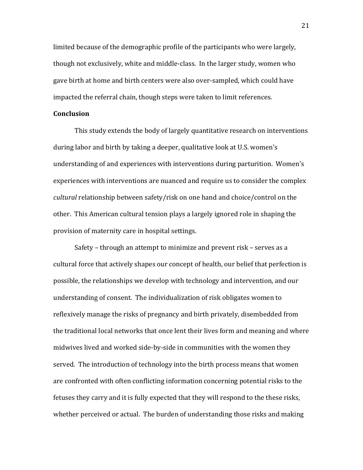limited because of the demographic profile of the participants who were largely, though not exclusively, white and middle-class. In the larger study, women who gave birth at home and birth centers were also over-sampled, which could have impacted the referral chain, though steps were taken to limit references.

## **Conclusion**

This study extends the body of largely quantitative research on interventions during labor and birth by taking a deeper, qualitative look at U.S. women's understanding of and experiences with interventions during parturition. Women's experiences with interventions are nuanced and require us to consider the complex *cultural* relationship between safety/risk on one hand and choice/control on the other. This American cultural tension plays a largely ignored role in shaping the provision of maternity care in hospital settings.

Safety – through an attempt to minimize and prevent risk – serves as a cultural force that actively shapes our concept of health, our belief that perfection is possible, the relationships we develop with technology and intervention, and our understanding of consent. The individualization of risk obligates women to reflexively manage the risks of pregnancy and birth privately, disembedded from the traditional local networks that once lent their lives form and meaning and where midwives lived and worked side-by-side in communities with the women they served. The introduction of technology into the birth process means that women are confronted with often conflicting information concerning potential risks to the fetuses they carry and it is fully expected that they will respond to the these risks, whether perceived or actual. The burden of understanding those risks and making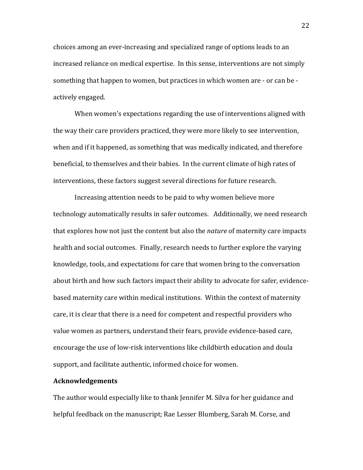choices among an ever-increasing and specialized range of options leads to an increased reliance on medical expertise. In this sense, interventions are not simply something that happen to women, but practices in which women are - or can be actively engaged.

When women's expectations regarding the use of interventions aligned with the way their care providers practiced, they were more likely to see intervention, when and if it happened, as something that was medically indicated, and therefore beneficial, to themselves and their babies. In the current climate of high rates of interventions, these factors suggest several directions for future research.

Increasing attention needs to be paid to why women believe more technology automatically results in safer outcomes. Additionally, we need research that explores how not just the content but also the *nature* of maternity care impacts health and social outcomes. Finally, research needs to further explore the varying knowledge, tools, and expectations for care that women bring to the conversation about birth and how such factors impact their ability to advocate for safer, evidencebased maternity care within medical institutions. Within the context of maternity care, it is clear that there is a need for competent and respectful providers who value women as partners, understand their fears, provide evidence-based care, encourage the use of low-risk interventions like childbirth education and doula support, and facilitate authentic, informed choice for women.

#### **Acknowledgements**

The author would especially like to thank Jennifer M. Silva for her guidance and helpful feedback on the manuscript; Rae Lesser Blumberg, Sarah M. Corse, and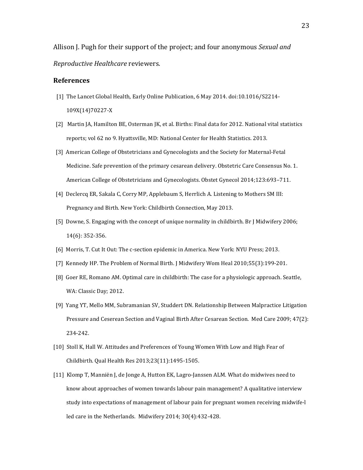Allison J. Pugh for their support of the project; and four anonymous *Sexual and Reproductive Healthcare* reviewers.

#### **References**

- [1] The Lancet Global Health, Early Online Publication, 6 May 2014. doi:10.1016/S2214- 109X(14)70227-X
- [2] Martin JA, Hamilton BE, Osterman JK, et al. Births: Final data for 2012. National vital statistics reports; vol 62 no 9. Hyattsville, MD: National Center for Health Statistics. 2013.
- [3] American College of Obstetricians and Gynecologists and the Society for Maternal-Fetal Medicine. Safe prevention of the primary cesarean delivery. Obstetric Care Consensus No. 1. American College of Obstetricians and Gynecologists. Obstet Gynecol 2014;123:693-711.
- [4] Declercq ER, Sakala C, Corry MP, Applebaum S, Herrlich A. Listening to Mothers SM III: Pregnancy and Birth. New York: Childbirth Connection, May 2013.
- [5] Downe, S. Engaging with the concept of unique normality in childbirth. Br J Midwifery 2006; 14(6): 352-356.
- [6] Morris, T. Cut It Out: The c-section epidemic in America. New York: NYU Press; 2013.
- [7] Kennedy HP. The Problem of Normal Birth. J Midwifery Wom Heal 2010;55(3):199-201.
- [8] Goer RE, Romano AM. Optimal care in childbirth: The case for a physiologic approach. Seattle, WA: Classic Day; 2012.
- [9] Yang YT, Mello MM, Subramanian SV, Studdert DN. Relationship Between Malpractice Litigation Pressure and Ceserean Section and Vaginal Birth After Cesarean Section. Med Care 2009; 47(2): 234-242.
- [10] Stoll K, Hall W. Attitudes and Preferences of Young Women With Low and High Fear of Childbirth. Qual Health Res 2013;23(11):1495-1505.
- [11] Klomp T, Manniën J, de Jonge A, Hutton EK, Lagro-Janssen ALM. What do midwives need to know about approaches of women towards labour pain management? A qualitative interview study into expectations of management of labour pain for pregnant women receiving midwife-l led care in the Netherlands. Midwifery  $2014$ ;  $30(4)$ :432-428.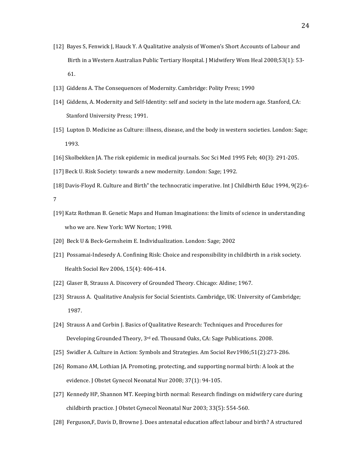- [12] Bayes S, Fenwick J, Hauck Y. A Qualitative analysis of Women's Short Accounts of Labour and Birth in a Western Australian Public Tertiary Hospital. J Midwifery Wom Heal 2008;53(1): 53- 61.
- [13] Giddens A. The Consequences of Modernity. Cambridge: Polity Press; 1990
- [14] Giddens, A. Modernity and Self-Identity: self and society in the late modern age. Stanford, CA: Stanford University Press; 1991.
- [15] Lupton D. Medicine as Culture: illness, disease, and the body in western societies. London: Sage; 1993.
- [16] Skolbekken JA. The risk epidemic in medical journals. Soc Sci Med 1995 Feb; 40(3): 291-205.
- [17] Beck U. Risk Society: towards a new modernity. London: Sage; 1992.
- [18] Davis-Floyd R. Culture and Birth" the technocratic imperative. Int J Childbirth Educ 1994, 9(2):6-

- [19] Katz Rothman B. Genetic Maps and Human Imaginations: the limits of science in understanding who we are. New York: WW Norton; 1998.
- [20] Beck U & Beck-Gernsheim E. Individualization. London: Sage; 2002
- [21] Possamai-Indesedy A. Confining Risk: Choice and responsibility in childbirth in a risk society. Health Sociol Rev 2006, 15(4): 406-414.
- [22] Glaser B, Strauss A. Discovery of Grounded Theory. Chicago: Aldine; 1967.
- [23] Strauss A. Qualitative Analysis for Social Scientists. Cambridge, UK: University of Cambridge; 1987.
- [24] Strauss A and Corbin J. Basics of Qualitative Research: Techniques and Procedures for Developing Grounded Theory,  $3^{rd}$  ed. Thousand Oaks, CA: Sage Publications. 2008.
- [25] Swidler A. Culture in Action: Symbols and Strategies. Am Sociol Rev1986;51(2):273-286.
- [26] Romano AM, Lothian JA. Promoting, protecting, and supporting normal birth: A look at the evidence. J Obstet Gynecol Neonatal Nur 2008; 37(1): 94-105.
- [27] Kennedy HP, Shannon MT. Keeping birth normal: Research findings on midwifery care during childbirth practice. J Obstet Gynecol Neonatal Nur 2003; 33(5): 554-560.
- [28] Ferguson, F, Davis D, Browne J. Does antenatal education affect labour and birth? A structured